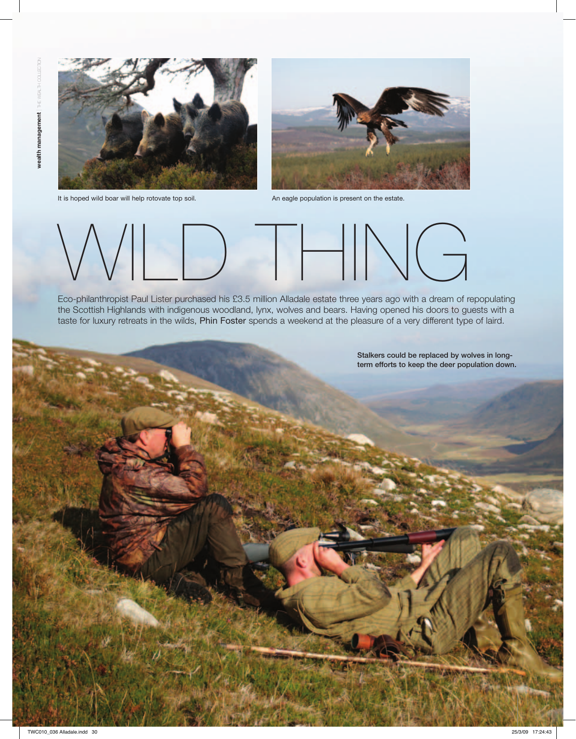30



It is hoped wild boar will help rotovate top soil. An eagle population is present on the estate.





Eco-philanthropist Paul Lister purchased his £3.5 million Alladale estate three years ago with a dream of repopulating the Scottish Highlands with indigenous woodland, lynx, wolves and bears. Having opened his doors to guests with a taste for luxury retreats in the wilds, Phin Foster spends a weekend at the pleasure of a very different type of laird.

> Stalkers could be replaced by wolves in longterm efforts to keep the deer population down.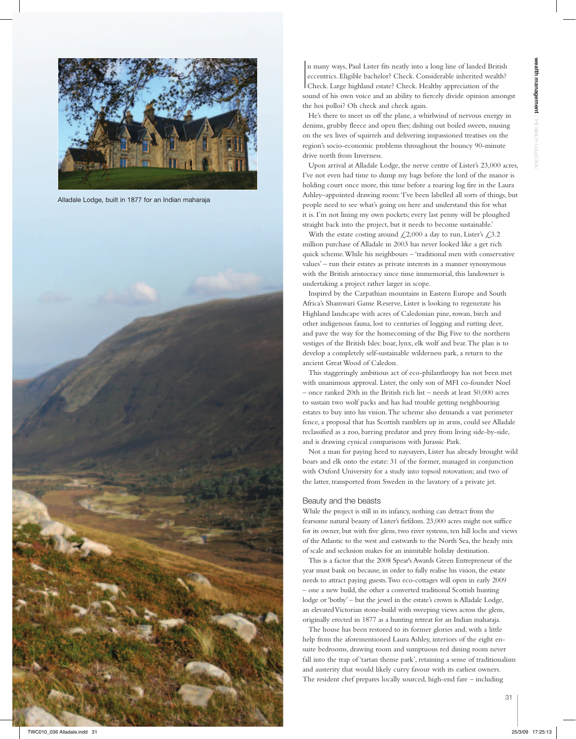

Alladale Lodge, built in 1877 for an Indian maharaja



 $\begin{array}{c} \hline \end{array}$ n many ways, Paul Lister fits neatly into a long line of landed British eccentrics. Eligible bachelor? Check. Considerable inherited wealth? Check. Large highland estate? Check. Healthy appreciation of the sound of his own voice and an ability to fiercely divide opinion amongst the hoi polloi? Oh check and check again.

He's there to meet us off the plane, a whirlwind of nervous energy in denims, grubby fleece and open flies; dishing out boiled sweets, musing on the sex lives of squirrels and delivering impassioned treatises on the region's socio-economic problems throughout the bouncy 90-minute drive north from Inverness.

Upon arrival at Alladale Lodge, the nerve centre of Lister's 23,000 acres, I've not even had time to dump my bags before the lord of the manor is holding court once more, this time before a roaring log fire in the Laura Ashley–appointed drawing room: 'I've been labelled all sorts of things, but people need to see what's going on here and understand this for what it is. I'm not lining my own pockets; every last penny will be ploughed straight back into the project, but it needs to become sustainable.'

With the estate costing around  $\ell$ , 2,000 a day to run, Lister's  $\ell$ , 3.2 million purchase of Alladale in 2003 has never looked like a get rich quick scheme. While his neighbours – 'traditional men with conservative values' – run their estates as private interests in a manner synonymous with the British aristocracy since time immemorial, this landowner is undertaking a project rather larger in scope.

Inspired by the Carpathian mountains in Eastern Europe and South Africa's Shamwari Game Reserve, Lister is looking to regenerate his Highland landscape with acres of Caledonian pine, rowan, birch and other indigenous fauna, lost to centuries of logging and rutting deer, and pave the way for the homecoming of the Big Five to the northern vestiges of the British Isles: boar, lynx, elk wolf and bear. The plan is to develop a completely self-sustainable wilderness park, a return to the ancient Great Wood of Caledon.

This staggeringly ambitious act of eco-philanthropy has not been met with unanimous approval. Lister, the only son of MFI co-founder Noel – once ranked 20th in the British rich list – needs at least 50,000 acres to sustain two wolf packs and has had trouble getting neighbouring estates to buy into his vision. The scheme also demands a vast perimeter fence, a proposal that has Scottish ramblers up in arms, could see Alladale reclassified as a zoo, barring predator and prey from living side-by-side, and is drawing cynical comparisons with Jurassic Park.

Not a man for paying heed to naysayers, Lister has already brought wild boars and elk onto the estate: 31 of the former, managed in conjunction with Oxford University for a study into topsoil rotovation; and two of the latter, transported from Sweden in the lavatory of a private jet.

## Beauty and the beasts

While the project is still in its infancy, nothing can detract from the fearsome natural beauty of Lister's fiefdom. 23,000 acres might not suffice for its owner, but with five glens, two river systems, ten hill lochs and views of the Atlantic to the west and eastwards to the North Sea, the heady mix of scale and seclusion makes for an inimitable holiday destination.

This is a factor that the 2008 Spear's Awards Green Entrepreneur of the year must bank on because, in order to fully realise his vision, the estate needs to attract paying guests. Two eco-cottages will open in early 2009 – one a new build, the other a converted traditional Scottish hunting lodge or 'bothy' – but the jewel in the estate's crown is Alladale Lodge, an elevated Victorian stone-build with sweeping views across the glens, originally erected in 1877 as a hunting retreat for an Indian maharaja.

The house has been restored to its former glories and, with a little help from the aforementioned Laura Ashley, interiors of the eight ensuite bedrooms, drawing room and sumptuous red dining room never fall into the trap of 'tartan theme park', retaining a sense of traditionalism and austerity that would likely curry favour with its earliest owners. The resident chef prepares locally sourced, high-end fare – including